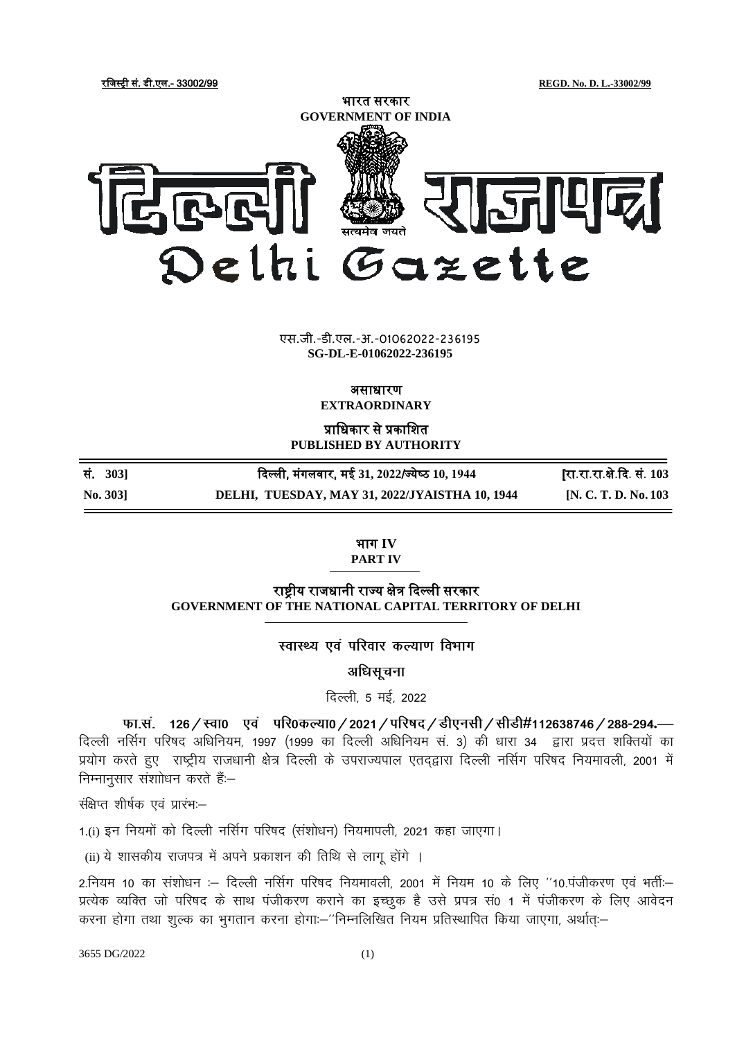रजिस्ट्री सं. डी.एल.- 33002/99 **REGD. No. D. L.-33002/99**



**xxxGIDHxxx** एस.जी.-डी.एल.-अ.-01062022-236195 एस.जी.-डी.एल.-अ.-01062022-236195**xxxGIDExxx SG-DL-E-01062022-236195**

## असाधारण

**EXTRAORDINARY**

प्राजधकार से प्रकाजित **PUBLISHED BY AUTHORITY**

| No. 303] | DELHI, TUESDAY, MAY 31, 2022/JYAISTHA 10, 1944 | [N. C. T. D. No. 103       |
|----------|------------------------------------------------|----------------------------|
| सं. 3031 | दिल्ली, मंगलवार, मई 31, 2022/ज्येष्ठ 10, 1944  | [रा.रा.रा.क्षे.दि. सं. 103 |

## भाग **IV PART IV**

राष्ट्रीय रािधानी राज्य क्षेत्र दिल्ली सरकार **GOVERNMENT OF THE NATIONAL CAPITAL TERRITORY OF DELHI**

स्वास्थ्य एवं परिवार कल्याण विभाग

अधिसूचना

दिल्ली, 5 मई, 2022

फा.सं. 126 / स्वा0 एवं परि0कल्या0 / 2021 / परिषद / डीएनसी / सीडी#112638746 / 288-294.— दिल्ली नर्सिग परिषद अधिनियम, 1997 (1999 का दिल्ली अधिनियम सं. 3) की धारा 34 द्वारा प्रदत्त शक्तियों का प्रयोग करते हुए राष्ट्रीय राजधानी क्षेत्र दिल्ली के उपराज्यपाल एतदृद्वारा दिल्ली नर्सिग परिषद नियमावली, 2001 में निम्नानुसार संशाोधन करते हैं:--

 $\frac{1}{\sqrt{1+\lambda}}$ र्सक्षेप्त शीर्षक एवं प्रारंभ:

1.(i) इन नियमों को दिल्ली नर्सिग परिषद (संशोधन) नियमापली, 2021 कहा जाएगा।

(ii) ये शासकीय राजपत्र में अपने प्रकाशन की तिथि से लागू होंगे ।

2.नियम 10 का संशोधन :– दिल्ली नर्सिग परिषद नियमावली, 2001 में नियम 10 के लिए ''10.पंजीकरण एवं भर्ती:– प्रत्येक व्यक्ति जो परिषद के साथ पंजीकरण कराने का इच्छक है उसे प्रपत्र सं0 1 में पंजीकरण के लिए आवेदन करना होगा तथा शुल्क का भुगतान करना होगा:--''निम्नलिखित नियम प्रतिस्थापित किया जाएगा, अर्थात्:--

3655 DG/2022 (1)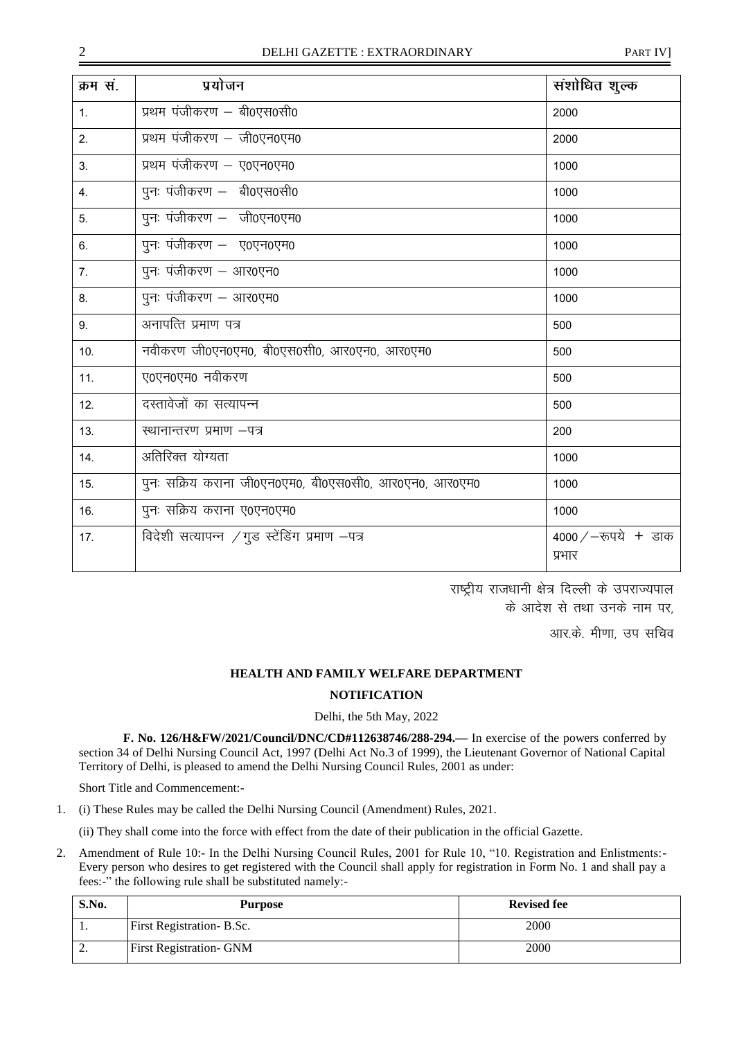| क्रम सं.       | प्रयोजन                                                | संशोधित शुल्क                    |
|----------------|--------------------------------------------------------|----------------------------------|
| 1 <sub>1</sub> | प्रथम पंजीकरण - बी0एस0सी0                              | 2000                             |
| 2.             | प्रथम पंजीकरण - जी0एन0एम0                              | 2000                             |
| 3 <sub>1</sub> | प्रथम पंजीकरण - ए0एन0एम0                               | 1000                             |
| 4.             | पुनः पंजीकरण - बी0एस0सी0                               | 1000                             |
| 5.             | पुनः पंजीकरण - जी0एन0एम0                               | 1000                             |
| 6.             | पुनः पंजीकरण - ए0एन0एम0                                | 1000                             |
| 7 <sub>1</sub> | पुनः पंजीकरण – आर0एन0                                  | 1000                             |
| 8.             | पुनः पंजीकरण - आर0एम0                                  | 1000                             |
| 9.             | अनापत्ति प्रमाण पत्र                                   | 500                              |
| 10.            | नवीकरण जी0एन0एम0, बी0एस0सी0, आर0एन0, आर0एम0            | 500                              |
| 11.            | ए0एन0एम0 नवीकरण                                        | 500                              |
| 12.            | दस्तावेजों का सत्यापन्न                                | 500                              |
| 13.            | स्थानान्तरण प्रमाण -पत्र                               | 200                              |
| 14.            | अतिरिक्त योग्यता                                       | 1000                             |
| 15.            | पुनः सक्रिय कराना जी0एन0एम0, बी0एस0सी0, आर0एन0, आर0एम0 | 1000                             |
| 16.            | पुनः सक्रिय कराना ए०एन०एम०                             | 1000                             |
| 17.            | विदेशी सत्यापन्न /गुड स्टेंडिंग प्रमाण -पत्र           | 4000 / $-$ रूपये + डाक<br>प्रभार |

राष्ट्रीय राजधानी क्षेत्र दिल्ली के उपराज्यपाल के आदेश से तथा उनके नाम पर.

आर.के. मीणा. उप सचिव

## **HEALTH AND FAMILY WELFARE DEPARTMENT**

## **NOTIFICATION**

Delhi, the 5th May, 2022

**F. No. 126/H&FW/2021/Council/DNC/CD#112638746/288-294.—** In exercise of the powers conferred by section 34 of Delhi Nursing Council Act, 1997 (Delhi Act No.3 of 1999), the Lieutenant Governor of National Capital Territory of Delhi, is pleased to amend the Delhi Nursing Council Rules, 2001 as under:

Short Title and Commencement:-

1. (i) These Rules may be called the Delhi Nursing Council (Amendment) Rules, 2021.

(ii) They shall come into the force with effect from the date of their publication in the official Gazette.

2. Amendment of Rule 10:- In the Delhi Nursing Council Rules, 2001 for Rule 10, "10. Registration and Enlistments:- Every person who desires to get registered with the Council shall apply for registration in Form No. 1 and shall pay a fees:-" the following rule shall be substituted namely:-

| S.No. | Purpose                          | <b>Revised fee</b> |
|-------|----------------------------------|--------------------|
| . .   | <b>First Registration- B.Sc.</b> | 2000               |
| ٠.    | <b>First Registration- GNM</b>   | 2000               |